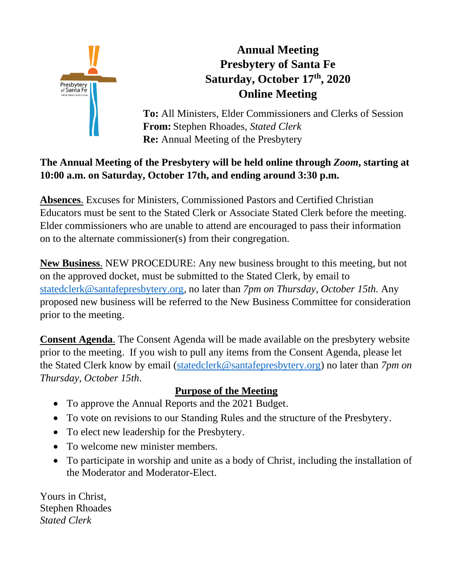

# **Annual Meeting Presbytery of Santa Fe Saturday, October 17th , 2020 Online Meeting**

**To:** All Ministers, Elder Commissioners and Clerks of Session **From:** Stephen Rhoades, *Stated Clerk* **Re:** Annual Meeting of the Presbytery

## **The Annual Meeting of the Presbytery will be held online through** *Zoom***, starting at 10:00 a.m. on Saturday, October 17th, and ending around 3:30 p.m.**

**Absences**. Excuses for Ministers, Commissioned Pastors and Certified Christian Educators must be sent to the Stated Clerk or Associate Stated Clerk before the meeting. Elder commissioners who are unable to attend are encouraged to pass their information on to the alternate commissioner(s) from their congregation.

**New Business**. NEW PROCEDURE: Any new business brought to this meeting, but not on the approved docket, must be submitted to the Stated Clerk, by email to [statedclerk@santafepresbytery.org,](file:///C:/Users/TLoFinch.DESKTOP-IKDVHSN/Desktop/statedclerk@santafepresbytery.org) no later than *7pm on Thursday, October 15th.* Any proposed new business will be referred to the New Business Committee for consideration prior to the meeting.

**Consent Agenda**. The Consent Agenda will be made available on the presbytery website prior to the meeting. If you wish to pull any items from the Consent Agenda, please let the Stated Clerk know by email [\(statedclerk@santafepresbytery.org\)](mailto:statedclerk@santafepresbytery.org) no later than *7pm on Thursday, October 15th*.

## **Purpose of the Meeting**

- To approve the Annual Reports and the 2021 Budget.
- To vote on revisions to our Standing Rules and the structure of the Presbytery.
- To elect new leadership for the Presbytery.
- To welcome new minister members.
- To participate in worship and unite as a body of Christ, including the installation of the Moderator and Moderator-Elect.

Yours in Christ, Stephen Rhoades *Stated Clerk*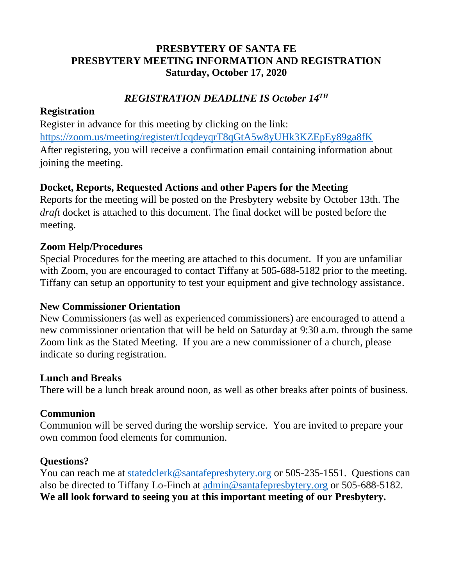## **PRESBYTERY OF SANTA FE PRESBYTERY MEETING INFORMATION AND REGISTRATION Saturday, October 17, 2020**

## *REGISTRATION DEADLINE IS October 14 TH*

#### **Registration**

Register in advance for this meeting by clicking on the link: <https://zoom.us/meeting/register/tJcqdeyqrT8qGtA5w8yUHk3KZEpEy89ga8fK> After registering, you will receive a confirmation email containing information about joining the meeting.

### **Docket, Reports, Requested Actions and other Papers for the Meeting**

Reports for the meeting will be posted on the Presbytery website by October 13th. The *draft* docket is attached to this document. The final docket will be posted before the meeting.

#### **Zoom Help/Procedures**

Special Procedures for the meeting are attached to this document. If you are unfamiliar with Zoom, you are encouraged to contact Tiffany at 505-688-5182 prior to the meeting. Tiffany can setup an opportunity to test your equipment and give technology assistance.

#### **New Commissioner Orientation**

New Commissioners (as well as experienced commissioners) are encouraged to attend a new commissioner orientation that will be held on Saturday at 9:30 a.m. through the same Zoom link as the Stated Meeting. If you are a new commissioner of a church, please indicate so during registration.

#### **Lunch and Breaks**

There will be a lunch break around noon, as well as other breaks after points of business.

#### **Communion**

Communion will be served during the worship service. You are invited to prepare your own common food elements for communion.

#### **Questions?**

You can reach me at [statedclerk@santafepresbytery.org](mailto:statedclerk@santafepresbytery.org) or 505-235-1551. Questions can also be directed to Tiffany Lo-Finch at [admin@santafepresbytery.org](mailto:admin@santafepresbytery.org) or 505-688-5182. **We all look forward to seeing you at this important meeting of our Presbytery.**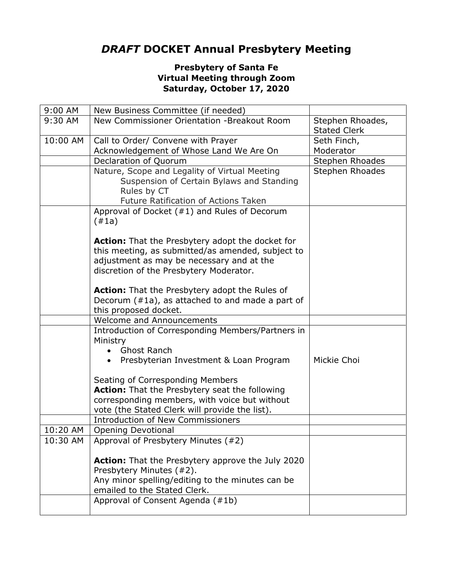## *DRAFT* **DOCKET Annual Presbytery Meeting**

#### **Presbytery of Santa Fe Virtual Meeting through Zoom Saturday, October 17, 2020**

| 9:00 AM  | New Business Committee (if needed)                                                   |                     |
|----------|--------------------------------------------------------------------------------------|---------------------|
| 9:30 AM  | New Commissioner Orientation -Breakout Room                                          | Stephen Rhoades,    |
|          |                                                                                      | <b>Stated Clerk</b> |
| 10:00 AM | Call to Order/ Convene with Prayer                                                   | Seth Finch,         |
|          | Acknowledgement of Whose Land We Are On                                              | Moderator           |
|          | Declaration of Quorum                                                                | Stephen Rhoades     |
|          | Nature, Scope and Legality of Virtual Meeting                                        | Stephen Rhoades     |
|          | Suspension of Certain Bylaws and Standing                                            |                     |
|          | Rules by CT                                                                          |                     |
|          | Future Ratification of Actions Taken                                                 |                     |
|          | Approval of Docket $(#1)$ and Rules of Decorum                                       |                     |
|          | (#1a)                                                                                |                     |
|          |                                                                                      |                     |
|          | <b>Action:</b> That the Presbytery adopt the docket for                              |                     |
|          | this meeting, as submitted/as amended, subject to                                    |                     |
|          | adjustment as may be necessary and at the<br>discretion of the Presbytery Moderator. |                     |
|          |                                                                                      |                     |
|          | Action: That the Presbytery adopt the Rules of                                       |                     |
|          | Decorum $(#1a)$ , as attached to and made a part of                                  |                     |
|          | this proposed docket.                                                                |                     |
|          | <b>Welcome and Announcements</b>                                                     |                     |
|          | Introduction of Corresponding Members/Partners in                                    |                     |
|          | Ministry                                                                             |                     |
|          | <b>Ghost Ranch</b>                                                                   |                     |
|          | Presbyterian Investment & Loan Program<br>$\bullet$                                  | Mickie Choi         |
|          |                                                                                      |                     |
|          | Seating of Corresponding Members                                                     |                     |
|          | Action: That the Presbytery seat the following                                       |                     |
|          | corresponding members, with voice but without                                        |                     |
|          | vote (the Stated Clerk will provide the list).                                       |                     |
|          | <b>Introduction of New Commissioners</b>                                             |                     |
| 10:20 AM | <b>Opening Devotional</b>                                                            |                     |
| 10:30 AM | Approval of Presbytery Minutes (#2)                                                  |                     |
|          |                                                                                      |                     |
|          | <b>Action:</b> That the Presbytery approve the July 2020                             |                     |
|          | Presbytery Minutes (#2).<br>Any minor spelling/editing to the minutes can be         |                     |
|          | emailed to the Stated Clerk.                                                         |                     |
|          | Approval of Consent Agenda (#1b)                                                     |                     |
|          |                                                                                      |                     |
|          |                                                                                      |                     |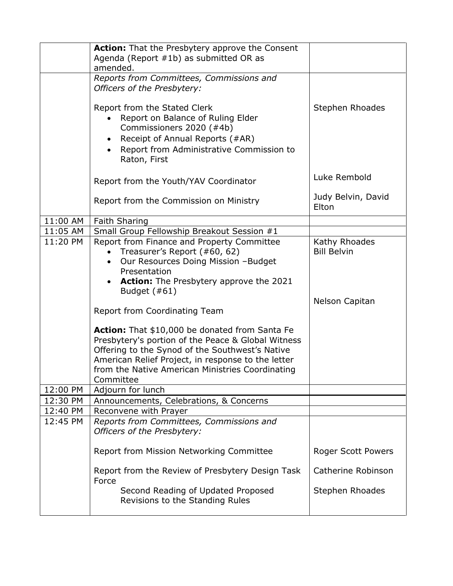|          | <b>Action:</b> That the Presbytery approve the Consent<br>Agenda (Report #1b) as submitted OR as<br>amended.                                                                                                                                                                                                                                                                                                    |                                                       |
|----------|-----------------------------------------------------------------------------------------------------------------------------------------------------------------------------------------------------------------------------------------------------------------------------------------------------------------------------------------------------------------------------------------------------------------|-------------------------------------------------------|
|          | Reports from Committees, Commissions and                                                                                                                                                                                                                                                                                                                                                                        |                                                       |
|          | Officers of the Presbytery:                                                                                                                                                                                                                                                                                                                                                                                     |                                                       |
|          | Report from the Stated Clerk<br>Report on Balance of Ruling Elder<br>Commissioners 2020 (#4b)<br>Receipt of Annual Reports (#AR)<br>Report from Administrative Commission to<br>Raton, First                                                                                                                                                                                                                    | Stephen Rhoades                                       |
|          | Report from the Youth/YAV Coordinator                                                                                                                                                                                                                                                                                                                                                                           | Luke Rembold                                          |
|          | Report from the Commission on Ministry                                                                                                                                                                                                                                                                                                                                                                          | Judy Belvin, David<br>Elton                           |
| 11:00 AM | Faith Sharing                                                                                                                                                                                                                                                                                                                                                                                                   |                                                       |
| 11:05 AM | Small Group Fellowship Breakout Session #1                                                                                                                                                                                                                                                                                                                                                                      |                                                       |
| 11:20 PM | Report from Finance and Property Committee<br>Treasurer's Report (#60, 62)<br>Our Resources Doing Mission -Budget<br>$\bullet$<br>Presentation<br><b>Action:</b> The Presbytery approve the 2021<br>Budget $(\#61)$<br>Report from Coordinating Team<br>Action: That \$10,000 be donated from Santa Fe<br>Presbytery's portion of the Peace & Global Witness<br>Offering to the Synod of the Southwest's Native | Kathy Rhoades<br><b>Bill Belvin</b><br>Nelson Capitan |
|          | American Relief Project, in response to the letter<br>from the Native American Ministries Coordinating<br>Committee                                                                                                                                                                                                                                                                                             |                                                       |
| 12:00 PM | Adjourn for lunch                                                                                                                                                                                                                                                                                                                                                                                               |                                                       |
| 12:30 PM | Announcements, Celebrations, & Concerns                                                                                                                                                                                                                                                                                                                                                                         |                                                       |
| 12:40 PM | Reconvene with Prayer                                                                                                                                                                                                                                                                                                                                                                                           |                                                       |
| 12:45 PM | Reports from Committees, Commissions and<br>Officers of the Presbytery:                                                                                                                                                                                                                                                                                                                                         |                                                       |
|          | Report from Mission Networking Committee                                                                                                                                                                                                                                                                                                                                                                        | <b>Roger Scott Powers</b>                             |
|          | Report from the Review of Presbytery Design Task<br>Force                                                                                                                                                                                                                                                                                                                                                       | Catherine Robinson                                    |
|          | Second Reading of Updated Proposed<br>Revisions to the Standing Rules                                                                                                                                                                                                                                                                                                                                           | Stephen Rhoades                                       |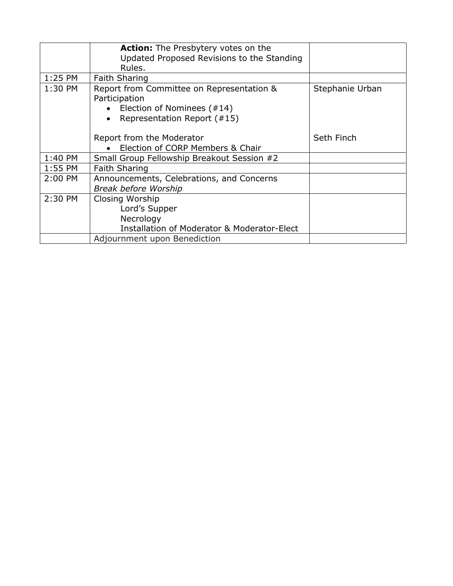|         | Action: The Presbytery votes on the<br>Updated Proposed Revisions to the Standing<br>Rules.                             |                 |
|---------|-------------------------------------------------------------------------------------------------------------------------|-----------------|
| 1:25 PM | <b>Faith Sharing</b>                                                                                                    |                 |
| 1:30 PM | Report from Committee on Representation &<br>Participation<br>Election of Nominees (#14)<br>Representation Report (#15) | Stephanie Urban |
|         | Report from the Moderator                                                                                               | Seth Finch      |
|         | Election of CORP Members & Chair                                                                                        |                 |
| 1:40 PM | Small Group Fellowship Breakout Session #2                                                                              |                 |
| 1:55 PM | <b>Faith Sharing</b>                                                                                                    |                 |
| 2:00 PM | Announcements, Celebrations, and Concerns<br>Break before Worship                                                       |                 |
| 2:30 PM | Closing Worship<br>Lord's Supper<br>Necrology<br><b>Installation of Moderator &amp; Moderator-Elect</b>                 |                 |
|         | Adjournment upon Benediction                                                                                            |                 |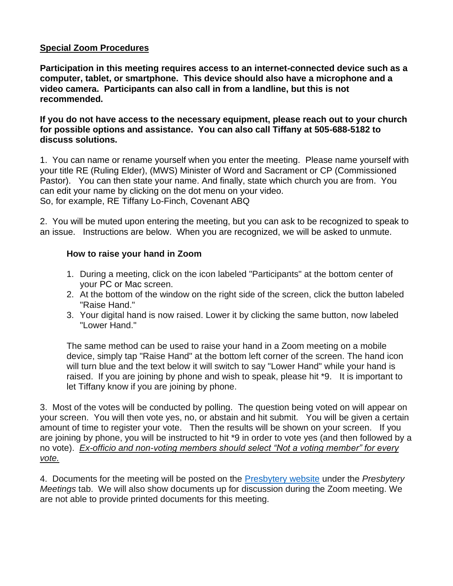#### **Special Zoom Procedures**

**Participation in this meeting requires access to an internet-connected device such as a computer, tablet, or smartphone. This device should also have a microphone and a video camera. Participants can also call in from a landline, but this is not recommended.** 

**If you do not have access to the necessary equipment, please reach out to your church for possible options and assistance. You can also call Tiffany at 505-688-5182 to discuss solutions.**

1. You can name or rename yourself when you enter the meeting. Please name yourself with your title RE (Ruling Elder), (MWS) Minister of Word and Sacrament or CP (Commissioned Pastor). You can then state your name. And finally, state which church you are from. You can edit your name by clicking on the dot menu on your video. So, for example, RE Tiffany Lo-Finch, Covenant ABQ

2. You will be muted upon entering the meeting, but you can ask to be recognized to speak to an issue. Instructions are below. When you are recognized, we will be asked to unmute.

#### **How to raise your hand in Zoom**

- 1. During a meeting, click on the icon labeled "Participants" at the bottom center of your [PC](https://bestbuy.7tiv.net/c/196318/614286/10014?u=https%3A%2F%2Fwww.bestbuy.com%2Fsite%2Flenovo-ideapad-130-15-6-laptop-amd-a9-series-4gb-memory-amd-radeon-r5-128gb-solid-state-drive-black%2F6323661.p%3FskuId%3D6323661&subid2=1591805478505agryasp8i&subId3=xid:fr1591805483230ajc) or [Mac](https://bestbuy.7tiv.net/c/196318/614286/10014?u=https%3A%2F%2Fwww.bestbuy.com%2Fsite%2Fapple-macbook-pro-13-display-with-touch-bar-intel-core-i5-8gb-memory-128gb-ssd-latest-model-space-gray%2F5998700.p%3FskuId%3D5998700&subid2=1591805478505a91uhfifx&subId3=xid:fr1591805483230feg) screen.
- 2. At the bottom of the window on the right side of the screen, click the button labeled "Raise Hand."
- 3. Your digital hand is now raised. Lower it by clicking the same button, now labeled "Lower Hand."

The same method can be used to raise your hand in a Zoom meeting on a mobile device, simply tap "Raise Hand" at the bottom left corner of the screen. The hand icon will turn blue and the text below it will switch to say "Lower Hand" while your hand is raised. If you are joining by phone and wish to speak, please hit \*9. It is important to let Tiffany know if you are joining by phone.

3. Most of the votes will be conducted by polling. The question being voted on will appear on your screen. You will then vote yes, no, or abstain and hit submit. You will be given a certain amount of time to register your vote. Then the results will be shown on your screen. If you are joining by phone, you will be instructed to hit \*9 in order to vote yes (and then followed by a no vote). *Ex-officio and non-voting members should select "Not a voting member" for every vote.*

4. Documents for the meeting will be posted on the [Presbytery website](https://santafepresbytery.org/) under the *Presbytery Meetings* tab. We will also show documents up for discussion during the Zoom meeting. We are not able to provide printed documents for this meeting.